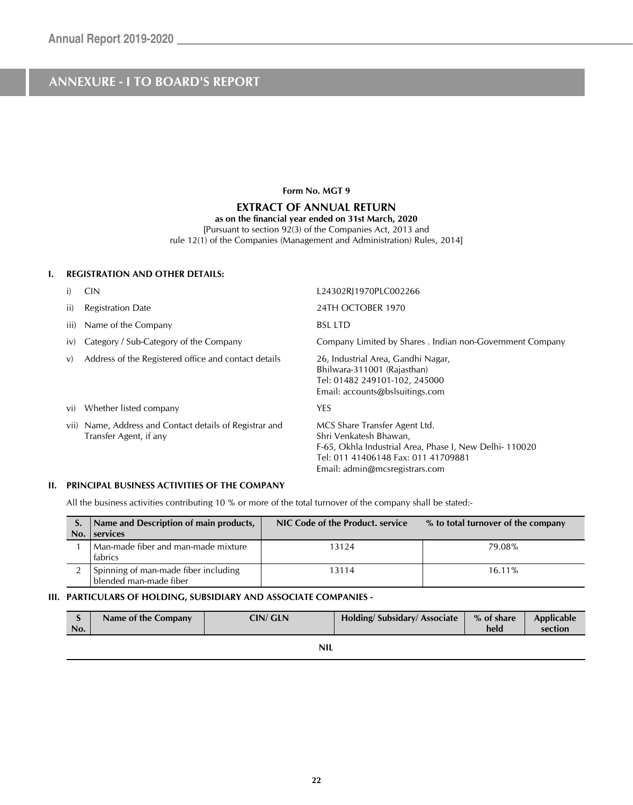#### **Form No. MGT 9**

#### **EXTRACT OF ANNUAL RETURN**

#### **as on the financial year ended on 31st March, 2020**

[Pursuant to section 92(3) of the Companies Act, 2013 and rule 12(1) of the Companies (Management and Administration) Rules, 2014]

#### **I. REGISTRATION AND OTHER DETAILS:**

|      | <b>CIN</b>                                                                   | L24302RJ1970PLC002266                                                                                                                                                                      |
|------|------------------------------------------------------------------------------|--------------------------------------------------------------------------------------------------------------------------------------------------------------------------------------------|
| ii)  | <b>Registration Date</b>                                                     | 24TH OCTOBER 1970                                                                                                                                                                          |
| iii) | Name of the Company                                                          | <b>BSL LTD</b>                                                                                                                                                                             |
| IV)  | Category / Sub-Category of the Company                                       | Company Limited by Shares . Indian non-Government Company                                                                                                                                  |
| V)   | Address of the Registered office and contact details                         | 26, Industrial Area, Gandhi Nagar,<br>Bhilwara-311001 (Rajasthan)<br>Tel: 01482 249101-102, 245000<br>Email: accounts@bslsuitings.com                                                      |
| VI)  | Whether listed company                                                       | YES                                                                                                                                                                                        |
| VII) | Name, Address and Contact details of Registrar and<br>Transfer Agent, if any | MCS Share Transfer Agent Ltd.<br>Shri Venkatesh Bhawan,<br>F-65, Okhla Industrial Area, Phase I, New Delhi-110020<br>Tel: 011 41406148 Fax: 011 41709881<br>Email: admin@mcsregistrars.com |

#### **II. PRINCIPAL BUSINESS ACTIVITIES OF THE COMPANY**

٦

All the business activities contributing 10 % or more of the total turnover of the company shall be stated:-

| No. | Name and Description of main products,<br>services             | NIC Code of the Product, service | % to total turnover of the company |
|-----|----------------------------------------------------------------|----------------------------------|------------------------------------|
|     | Man-made fiber and man-made mixture<br>fabrics                 | 13124                            | 79.08%                             |
|     | Spinning of man-made fiber including<br>blended man-made fiber | 13114                            | $16.11\%$                          |

#### **III. PARTICULARS OF HOLDING, SUBSIDIARY AND ASSOCIATE COMPANIES -**

| No. | Name of the Company | <b>CIN/ GLN</b> | Holding/Subsidary/Associate | % of share<br>held | Applicable<br>section |
|-----|---------------------|-----------------|-----------------------------|--------------------|-----------------------|
|     |                     | <b>NIL</b>      |                             |                    |                       |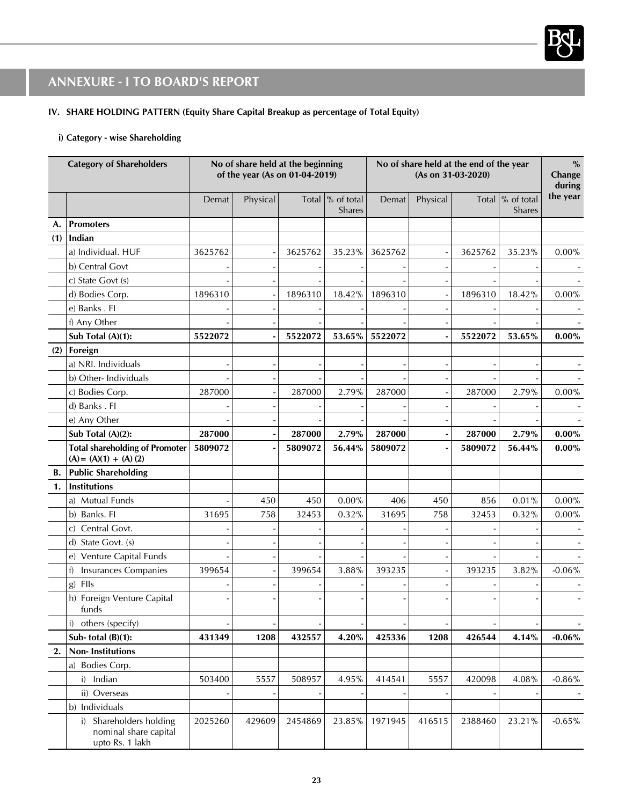

### **IV. SHARE HOLDING PATTERN (Equity Share Capital Breakup as percentage of Total Equity)**

#### **i) Category - wise Shareholding**

|     | <b>Category of Shareholders</b>                                     |         | No of share held at the beginning<br>of the year (As on 01-04-2019) |         |                             | (As on 31-03-2020) |          |         | No of share held at the end of the year |           |  | $\%$<br>Change<br>during |
|-----|---------------------------------------------------------------------|---------|---------------------------------------------------------------------|---------|-----------------------------|--------------------|----------|---------|-----------------------------------------|-----------|--|--------------------------|
|     |                                                                     | Demat   | Physical                                                            |         | Total  % of total<br>Shares | Demat              | Physical |         | Total $\%$ of total<br>Shares           | the year  |  |                          |
| А.  | <b>Promoters</b>                                                    |         |                                                                     |         |                             |                    |          |         |                                         |           |  |                          |
| (1) | Indian                                                              |         |                                                                     |         |                             |                    |          |         |                                         |           |  |                          |
|     | a) Individual. HUF                                                  | 3625762 |                                                                     | 3625762 | 35.23%                      | 3625762            |          | 3625762 | 35.23%                                  | 0.00%     |  |                          |
|     | b) Central Govt                                                     |         |                                                                     |         |                             |                    |          |         |                                         |           |  |                          |
|     | c) State Govt (s)                                                   |         |                                                                     |         |                             |                    |          |         |                                         |           |  |                          |
|     | d) Bodies Corp.                                                     | 1896310 |                                                                     | 1896310 | 18.42%                      | 1896310            |          | 1896310 | 18.42%                                  | $0.00\%$  |  |                          |
|     | e) Banks . Fl                                                       |         |                                                                     |         |                             |                    |          |         |                                         |           |  |                          |
|     | f) Any Other                                                        |         |                                                                     |         |                             |                    |          |         |                                         |           |  |                          |
|     | Sub Total (A)(1):                                                   | 5522072 |                                                                     | 5522072 | 53.65%                      | 5522072            |          | 5522072 | 53.65%                                  | $0.00\%$  |  |                          |
| (2) | Foreign                                                             |         |                                                                     |         |                             |                    |          |         |                                         |           |  |                          |
|     | a) NRI. Individuals                                                 |         |                                                                     |         |                             |                    |          |         |                                         |           |  |                          |
|     | b) Other- Individuals                                               |         |                                                                     |         |                             |                    |          |         |                                         |           |  |                          |
|     | c) Bodies Corp.                                                     | 287000  |                                                                     | 287000  | 2.79%                       | 287000             |          | 287000  | 2.79%                                   | $0.00\%$  |  |                          |
|     | d) Banks . Fl                                                       |         |                                                                     |         |                             |                    |          |         |                                         |           |  |                          |
|     | e) Any Other                                                        |         |                                                                     |         |                             |                    |          |         |                                         |           |  |                          |
|     | Sub Total (A)(2):                                                   | 287000  |                                                                     | 287000  | 2.79%                       | 287000             |          | 287000  | 2.79%                                   | $0.00\%$  |  |                          |
|     | <b>Total shareholding of Promoter</b><br>$(A) = (A)(1) + (A)(2)$    | 5809072 |                                                                     | 5809072 | 56.44%                      | 5809072            |          | 5809072 | 56.44%                                  | $0.00\%$  |  |                          |
| В.  | <b>Public Shareholding</b>                                          |         |                                                                     |         |                             |                    |          |         |                                         |           |  |                          |
| 1.  | Institutions                                                        |         |                                                                     |         |                             |                    |          |         |                                         |           |  |                          |
|     | a) Mutual Funds                                                     |         | 450                                                                 | 450     | $0.00\%$                    | 406                | 450      | 856     | 0.01%                                   | $0.00\%$  |  |                          |
|     | b) Banks. FI                                                        | 31695   | 758                                                                 | 32453   | 0.32%                       | 31695              | 758      | 32453   | 0.32%                                   | $0.00\%$  |  |                          |
|     | Central Govt.<br>C)                                                 |         |                                                                     |         |                             |                    |          |         |                                         |           |  |                          |
|     | d) State Govt. (s)                                                  |         |                                                                     |         |                             |                    |          |         |                                         |           |  |                          |
|     | e) Venture Capital Funds                                            |         |                                                                     |         |                             |                    |          |         |                                         |           |  |                          |
|     | Insurances Companies<br>f                                           | 399654  |                                                                     | 399654  | 3.88%                       | 393235             |          | 393235  | 3.82%                                   | $-0.06%$  |  |                          |
|     | g) FIIs                                                             |         |                                                                     |         |                             |                    |          |         |                                         |           |  |                          |
|     | h) Foreign Venture Capital<br>funds                                 |         |                                                                     |         |                             |                    |          |         |                                         |           |  |                          |
|     | i) others (specify)                                                 |         |                                                                     |         |                             |                    |          |         |                                         |           |  |                          |
|     | Sub-total $(B)(1)$ :                                                | 431349  | 1208                                                                | 432557  | 4.20%                       | 425336             | 1208     | 426544  | 4.14%                                   | $-0.06\%$ |  |                          |
| 2.  | <b>Non-Institutions</b>                                             |         |                                                                     |         |                             |                    |          |         |                                         |           |  |                          |
|     | a) Bodies Corp.                                                     |         |                                                                     |         |                             |                    |          |         |                                         |           |  |                          |
|     | i) Indian                                                           | 503400  | 5557                                                                | 508957  | 4.95%                       | 414541             | 5557     | 420098  | 4.08%                                   | $-0.86%$  |  |                          |
|     | ii) Overseas                                                        |         |                                                                     |         |                             |                    |          |         |                                         |           |  |                          |
|     | b) Individuals                                                      |         |                                                                     |         |                             |                    |          |         |                                         |           |  |                          |
|     | i) Shareholders holding<br>nominal share capital<br>upto Rs. 1 lakh | 2025260 | 429609                                                              | 2454869 | 23.85%                      | 1971945            | 416515   | 2388460 | 23.21%                                  | $-0.65%$  |  |                          |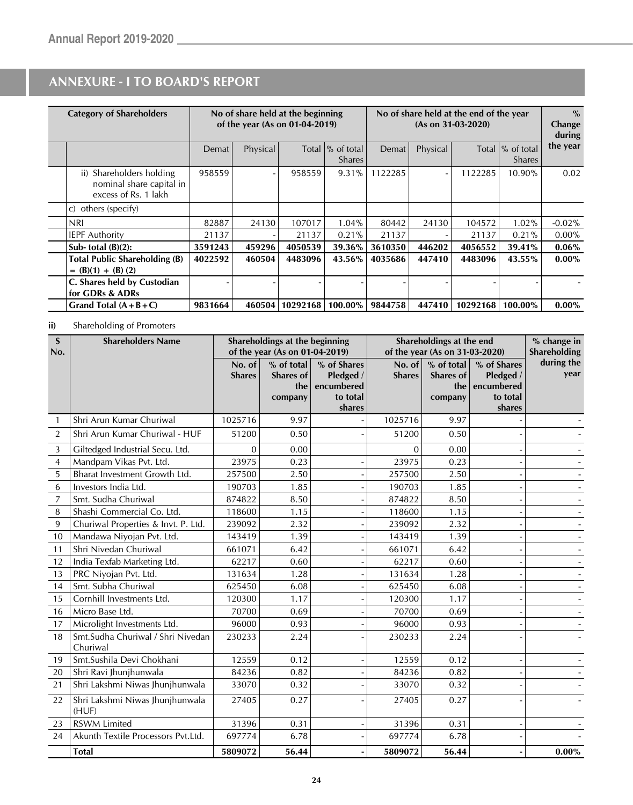| <b>Category of Shareholders</b>                                              |         |          | No of share held at the beginning<br>of the year (As on 01-04-2019) |                                    | No of share held at the end of the year<br>$(As on 31-03-2020)$ |          |          | $\%$<br>Change<br>during           |           |
|------------------------------------------------------------------------------|---------|----------|---------------------------------------------------------------------|------------------------------------|-----------------------------------------------------------------|----------|----------|------------------------------------|-----------|
|                                                                              | Demat   | Physical |                                                                     | Total  % of total<br><b>Shares</b> | Demat                                                           | Physical |          | Total  % of total<br><b>Shares</b> | the year  |
| ii) Shareholders holding<br>nominal share capital in<br>excess of Rs. 1 lakh | 958559  |          | 958559                                                              | 9.31%                              | 1122285                                                         |          | 1122285  | 10.90%                             | 0.02      |
| others (specify)<br>C)                                                       |         |          |                                                                     |                                    |                                                                 |          |          |                                    |           |
| <b>NRI</b>                                                                   | 82887   | 24130    | 107017                                                              | 1.04%                              | 80442                                                           | 24130    | 104572   | $1.02\%$                           | $-0.02\%$ |
| <b>IEPF Authority</b>                                                        | 21137   |          | 21137                                                               | 0.21%                              | 21137                                                           |          | 21137    | 0.21%                              | $0.00\%$  |
| Sub-total $(B)(2)$ :                                                         | 3591243 | 459296   | 4050539                                                             | 39.36%                             | 3610350                                                         | 446202   | 4056552  | 39.41%                             | $0.06\%$  |
| <b>Total Public Shareholding (B)</b><br>$= (B)(1) + (B)(2)$                  | 4022592 | 460504   | 4483096                                                             | 43.56%                             | 4035686                                                         | 447410   | 4483096  | 43.55%                             | $0.00\%$  |
| C. Shares held by Custodian<br>for GDRs & ADRs                               |         |          |                                                                     |                                    |                                                                 |          |          |                                    |           |
| Grand Total $(A + B + C)$                                                    | 9831664 | 460504   | 10292168                                                            | 100.00%                            | 9844758                                                         | 447410   | 10292168 | 100.00%                            | $0.00\%$  |

### **ii)** Shareholding of Promoters

| $\mathbf S$<br>No. | <b>Shareholders Name</b>                      |                         | Shareholdings at the beginning<br>of the year (As on 01-04-2019) |                                                              | Shareholdings at the end<br>of the year (As on 31-03-2020) |                                           |                                                              | % change in<br>Shareholding |
|--------------------|-----------------------------------------------|-------------------------|------------------------------------------------------------------|--------------------------------------------------------------|------------------------------------------------------------|-------------------------------------------|--------------------------------------------------------------|-----------------------------|
|                    |                                               | No. of<br><b>Shares</b> | % of total<br>Shares of<br>the<br>company                        | % of Shares<br>Pledged /<br>encumbered<br>to total<br>shares | No. of<br><b>Shares</b>                                    | % of total<br>Shares of<br>the<br>company | % of Shares<br>Pledged /<br>encumbered<br>to total<br>shares | during the<br>year          |
| 1                  | Shri Arun Kumar Churiwal                      | 1025716                 | 9.97                                                             |                                                              | 1025716                                                    | 9.97                                      |                                                              |                             |
| $\overline{2}$     | Shri Arun Kumar Churiwal - HUF                | 51200                   | 0.50                                                             |                                                              | 51200                                                      | 0.50                                      |                                                              |                             |
| 3                  | Giltedged Industrial Secu. Ltd.               | $\Omega$                | 0.00                                                             |                                                              | $\Omega$                                                   | 0.00                                      |                                                              |                             |
| 4                  | Mandpam Vikas Pvt. Ltd.                       | 23975                   | 0.23                                                             |                                                              | 23975                                                      | 0.23                                      |                                                              |                             |
| 5                  | Bharat Investment Growth Ltd.                 | 257500                  | 2.50                                                             |                                                              | 257500                                                     | 2.50                                      |                                                              |                             |
| 6                  | Investors India Ltd.                          | 190703                  | 1.85                                                             |                                                              | 190703                                                     | 1.85                                      |                                                              |                             |
| 7                  | Smt. Sudha Churiwal                           | 874822                  | 8.50                                                             |                                                              | 874822                                                     | 8.50                                      |                                                              |                             |
| 8                  | Shashi Commercial Co. Ltd.                    | 118600                  | 1.15                                                             |                                                              | 118600                                                     | 1.15                                      |                                                              |                             |
| 9                  | Churiwal Properties & Invt. P. Ltd.           | 239092                  | 2.32                                                             |                                                              | 239092                                                     | 2.32                                      |                                                              |                             |
| 10                 | Mandawa Niyojan Pvt. Ltd.                     | 143419                  | 1.39                                                             |                                                              | 143419                                                     | 1.39                                      |                                                              |                             |
| 11                 | Shri Nivedan Churiwal                         | 661071                  | 6.42                                                             |                                                              | 661071                                                     | 6.42                                      |                                                              |                             |
| 12                 | India Texfab Marketing Ltd.                   | 62217                   | 0.60                                                             |                                                              | 62217                                                      | 0.60                                      |                                                              |                             |
| 13                 | PRC Niyojan Pvt. Ltd.                         | 131634                  | 1.28                                                             |                                                              | 131634                                                     | 1.28                                      |                                                              |                             |
| 14                 | Smt. Subha Churiwal                           | 625450                  | 6.08                                                             |                                                              | 625450                                                     | 6.08                                      |                                                              |                             |
| 15                 | Cornhill Investments Ltd.                     | 120300                  | 1.17                                                             |                                                              | 120300                                                     | 1.17                                      |                                                              |                             |
| 16                 | Micro Base Ltd.                               | 70700                   | 0.69                                                             |                                                              | 70700                                                      | 0.69                                      |                                                              |                             |
| 17                 | Microlight Investments Ltd.                   | 96000                   | 0.93                                                             |                                                              | 96000                                                      | 0.93                                      |                                                              |                             |
| 18                 | Smt.Sudha Churiwal / Shri Nivedan<br>Churiwal | 230233                  | 2.24                                                             |                                                              | 230233                                                     | 2.24                                      |                                                              |                             |
| 19                 | Smt. Sushila Devi Chokhani                    | 12559                   | 0.12                                                             |                                                              | 12559                                                      | 0.12                                      |                                                              |                             |
| 20                 | Shri Ravi Jhunjhunwala                        | 84236                   | 0.82                                                             |                                                              | 84236                                                      | 0.82                                      |                                                              |                             |
| 21                 | Shri Lakshmi Niwas Jhunjhunwala               | 33070                   | 0.32                                                             |                                                              | 33070                                                      | 0.32                                      |                                                              |                             |
| 22                 | Shri Lakshmi Niwas Jhunjhunwala<br>(HUF)      | 27405                   | 0.27                                                             |                                                              | 27405                                                      | 0.27                                      |                                                              |                             |
| 23                 | <b>RSWM Limited</b>                           | 31396                   | 0.31                                                             |                                                              | 31396                                                      | 0.31                                      |                                                              |                             |
| 24                 | Akunth Textile Processors Pvt.Ltd.            | 697774                  | 6.78                                                             |                                                              | 697774                                                     | 6.78                                      |                                                              |                             |
|                    | <b>Total</b>                                  | 5809072                 | 56.44                                                            |                                                              | 5809072                                                    | 56.44                                     |                                                              | $0.00\%$                    |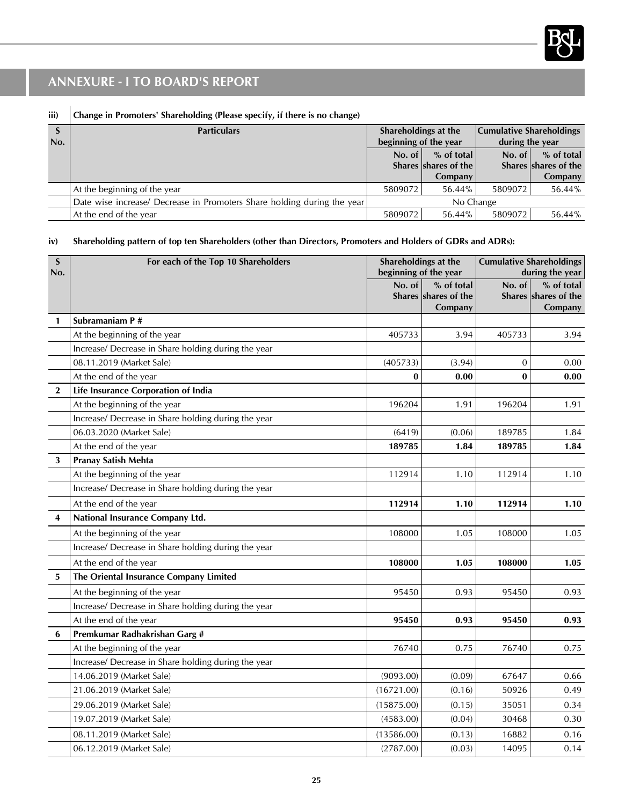

### **iii) Change in Promoters' Shareholding (Please specify, if there is no change)**

| э<br>No. | <b>Particulars</b>                                                      | Shareholdings at the<br>beginning of the year |                                      | <b>Cumulative Shareholdings</b><br>during the year |                                    |
|----------|-------------------------------------------------------------------------|-----------------------------------------------|--------------------------------------|----------------------------------------------------|------------------------------------|
|          |                                                                         | No. of                                        | $%$ of total<br>Shares shares of the | No. of $\vert$                                     | % of total<br>Shares shares of the |
|          |                                                                         |                                               | Company                              |                                                    | Company                            |
|          | At the beginning of the year                                            | 5809072                                       | 56.44%                               | 5809072                                            | 56.44%                             |
|          | Date wise increase/ Decrease in Promoters Share holding during the year | No Change                                     |                                      |                                                    |                                    |
|          | At the end of the year                                                  | 5809072                                       | 56.44%                               | 5809072                                            | 56.44%                             |

#### **iv) Shareholding pattern of top ten Shareholders (other than Directors, Promoters and Holders of GDRs and ADRs):**

| S<br>No.                | For each of the Top 10 Shareholders                 | Shareholdings at the<br>beginning of the year |                                               |                | <b>Cumulative Shareholdings</b><br>during the year |
|-------------------------|-----------------------------------------------------|-----------------------------------------------|-----------------------------------------------|----------------|----------------------------------------------------|
|                         |                                                     | No. of                                        | % of total<br>Shares shares of the<br>Company | No. of         | % of total<br>Shares shares of the<br>Company      |
| $\mathbf{1}$            | Subramaniam P#                                      |                                               |                                               |                |                                                    |
|                         | At the beginning of the year                        | 405733                                        | 3.94                                          | 405733         | 3.94                                               |
|                         | Increase/ Decrease in Share holding during the year |                                               |                                               |                |                                                    |
|                         | 08.11.2019 (Market Sale)                            | (405733)                                      | (3.94)                                        | $\overline{0}$ | 0.00                                               |
|                         | At the end of the year                              | $\bf{0}$                                      | 0.00                                          | $\bf{0}$       | 0.00                                               |
| $\mathbf{2}$            | Life Insurance Corporation of India                 |                                               |                                               |                |                                                    |
|                         | At the beginning of the year                        | 196204                                        | 1.91                                          | 196204         | 1.91                                               |
|                         | Increase/ Decrease in Share holding during the year |                                               |                                               |                |                                                    |
|                         | 06.03.2020 (Market Sale)                            | (6419)                                        | (0.06)                                        | 189785         | 1.84                                               |
|                         | At the end of the year                              | 189785                                        | 1.84                                          | 189785         | 1.84                                               |
| 3                       | Pranay Satish Mehta                                 |                                               |                                               |                |                                                    |
|                         | At the beginning of the year                        | 112914                                        | 1.10                                          | 112914         | 1.10                                               |
|                         | Increase/ Decrease in Share holding during the year |                                               |                                               |                |                                                    |
|                         | At the end of the year                              | 112914                                        | 1.10                                          | 112914         | 1.10                                               |
| $\overline{\mathbf{4}}$ | National Insurance Company Ltd.                     |                                               |                                               |                |                                                    |
|                         | At the beginning of the year                        | 108000                                        | 1.05                                          | 108000         | 1.05                                               |
|                         | Increase/ Decrease in Share holding during the year |                                               |                                               |                |                                                    |
|                         | At the end of the year                              | 108000                                        | 1.05                                          | 108000         | 1.05                                               |
| 5                       | The Oriental Insurance Company Limited              |                                               |                                               |                |                                                    |
|                         | At the beginning of the year                        | 95450                                         | 0.93                                          | 95450          | 0.93                                               |
|                         | Increase/ Decrease in Share holding during the year |                                               |                                               |                |                                                    |
|                         | At the end of the year                              | 95450                                         | 0.93                                          | 95450          | 0.93                                               |
| 6                       | Premkumar Radhakrishan Garg #                       |                                               |                                               |                |                                                    |
|                         | At the beginning of the year                        | 76740                                         | 0.75                                          | 76740          | 0.75                                               |
|                         | Increase/ Decrease in Share holding during the year |                                               |                                               |                |                                                    |
|                         | 14.06.2019 (Market Sale)                            | (9093.00)                                     | (0.09)                                        | 67647          | 0.66                                               |
|                         | 21.06.2019 (Market Sale)                            | (16721.00)                                    | (0.16)                                        | 50926          | 0.49                                               |
|                         | 29.06.2019 (Market Sale)                            | (15875.00)                                    | (0.15)                                        | 35051          | 0.34                                               |
|                         | 19.07.2019 (Market Sale)                            | (4583.00)                                     | (0.04)                                        | 30468          | 0.30                                               |
|                         | 08.11.2019 (Market Sale)                            | (13586.00)                                    | (0.13)                                        | 16882          | 0.16                                               |
|                         | 06.12.2019 (Market Sale)                            | (2787.00)                                     | (0.03)                                        | 14095          | 0.14                                               |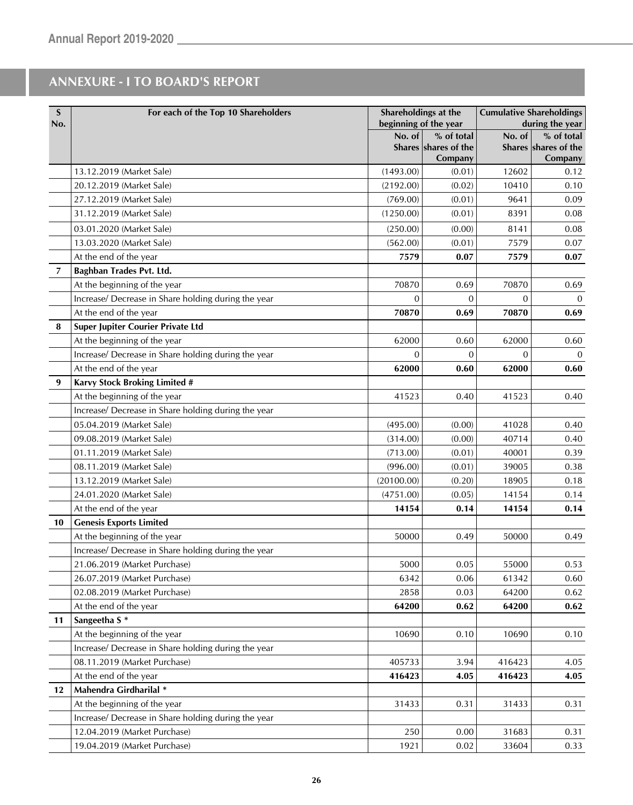| S<br>No. | For each of the Top 10 Shareholders                 | beginning of the year | Shareholdings at the                          |          | <b>Cumulative Shareholdings</b><br>during the year |
|----------|-----------------------------------------------------|-----------------------|-----------------------------------------------|----------|----------------------------------------------------|
|          |                                                     | No. of                | % of total<br>Shares shares of the<br>Company | No. of   | % of total<br>Shares shares of the<br>Company      |
|          | 13.12.2019 (Market Sale)                            | (1493.00)             | (0.01)                                        | 12602    | 0.12                                               |
|          | 20.12.2019 (Market Sale)                            | (2192.00)             | (0.02)                                        | 10410    | 0.10                                               |
|          | 27.12.2019 (Market Sale)                            | (769.00)              | (0.01)                                        | 9641     | 0.09                                               |
|          | 31.12.2019 (Market Sale)                            | (1250.00)             | (0.01)                                        | 8391     | 0.08                                               |
|          | 03.01.2020 (Market Sale)                            | (250.00)              | (0.00)                                        | 8141     | 0.08                                               |
|          | 13.03.2020 (Market Sale)                            | (562.00)              | (0.01)                                        | 7579     | 0.07                                               |
|          | At the end of the year                              | 7579                  | 0.07                                          | 7579     | 0.07                                               |
| 7        | Baghban Trades Pvt. Ltd.                            |                       |                                               |          |                                                    |
|          | At the beginning of the year                        | 70870                 | 0.69                                          | 70870    | 0.69                                               |
|          | Increase/ Decrease in Share holding during the year | 0                     | $\Omega$                                      | $\Omega$ | $\mathbf{0}$                                       |
|          | At the end of the year                              | 70870                 | 0.69                                          | 70870    | 0.69                                               |
| 8        | Super Jupiter Courier Private Ltd                   |                       |                                               |          |                                                    |
|          | At the beginning of the year                        | 62000                 | 0.60                                          | 62000    | 0.60                                               |
|          | Increase/ Decrease in Share holding during the year | $\Omega$              | $\Omega$                                      | $\Omega$ | $\mathbf{0}$                                       |
|          | At the end of the year                              | 62000                 | 0.60                                          | 62000    | 0.60                                               |
| 9        | Karvy Stock Broking Limited #                       |                       |                                               |          |                                                    |
|          | At the beginning of the year                        | 41523                 | 0.40                                          | 41523    | 0.40                                               |
|          | Increase/ Decrease in Share holding during the year |                       |                                               |          |                                                    |
|          | 05.04.2019 (Market Sale)                            | (495.00)              | (0.00)                                        | 41028    | 0.40                                               |
|          | 09.08.2019 (Market Sale)                            | (314.00)              | (0.00)                                        | 40714    | 0.40                                               |
|          | 01.11.2019 (Market Sale)                            | (713.00)              | (0.01)                                        | 40001    | 0.39                                               |
|          | 08.11.2019 (Market Sale)                            | (996.00)              | (0.01)                                        | 39005    | 0.38                                               |
|          | 13.12.2019 (Market Sale)                            | (20100.00)            | (0.20)                                        | 18905    | 0.18                                               |
|          | 24.01.2020 (Market Sale)                            | (4751.00)             | (0.05)                                        | 14154    | 0.14                                               |
|          | At the end of the year                              | 14154                 | 0.14                                          | 14154    | 0.14                                               |
| 10       | <b>Genesis Exports Limited</b>                      |                       |                                               |          |                                                    |
|          | At the beginning of the year                        | 50000                 | 0.49                                          | 50000    | 0.49                                               |
|          | Increase/ Decrease in Share holding during the year |                       |                                               |          |                                                    |
|          | 21.06.2019 (Market Purchase)                        | 5000                  | 0.05                                          | 55000    | 0.53                                               |
|          | 26.07.2019 (Market Purchase)                        | 6342                  | $0.06\,$                                      | 61342    | 0.60                                               |
|          | 02.08.2019 (Market Purchase)                        | 2858                  | 0.03                                          | 64200    | 0.62                                               |
|          | At the end of the year                              | 64200                 | 0.62                                          | 64200    | 0.62                                               |
| 11       | Sangeetha S*                                        |                       |                                               |          |                                                    |
|          | At the beginning of the year                        | 10690                 | 0.10                                          | 10690    | 0.10                                               |
|          | Increase/ Decrease in Share holding during the year |                       |                                               |          |                                                    |
|          | 08.11.2019 (Market Purchase)                        | 405733                | 3.94                                          | 416423   | 4.05                                               |
|          | At the end of the year                              | 416423                | 4.05                                          | 416423   | 4.05                                               |
| $12 \,$  | Mahendra Girdharilal *                              |                       |                                               |          |                                                    |
|          | At the beginning of the year                        | 31433                 | 0.31                                          | 31433    | 0.31                                               |
|          | Increase/ Decrease in Share holding during the year |                       |                                               |          |                                                    |
|          | 12.04.2019 (Market Purchase)                        | 250                   | 0.00                                          | 31683    | 0.31                                               |
|          | 19.04.2019 (Market Purchase)                        | 1921                  | 0.02                                          | 33604    | 0.33                                               |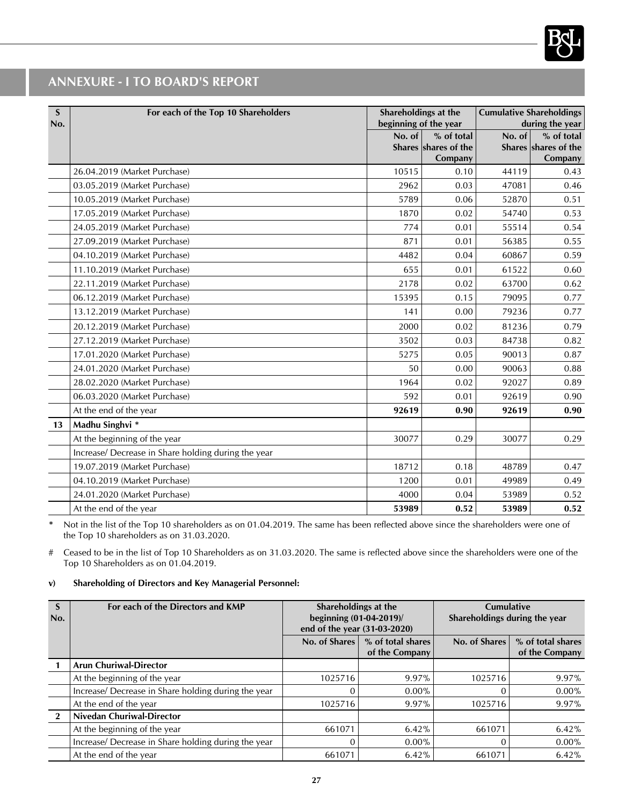

| S<br>No. | For each of the Top 10 Shareholders                 | Shareholdings at the<br>beginning of the year |                                 |        | <b>Cumulative Shareholdings</b><br>during the year |
|----------|-----------------------------------------------------|-----------------------------------------------|---------------------------------|--------|----------------------------------------------------|
|          |                                                     | No. of                                        | % of total                      | No. of | % of total                                         |
|          |                                                     |                                               | Shares shares of the<br>Company |        | Shares shares of the<br>Company                    |
|          | 26.04.2019 (Market Purchase)                        | 10515                                         | 0.10                            | 44119  | 0.43                                               |
|          | 03.05.2019 (Market Purchase)                        | 2962                                          | 0.03                            | 47081  | 0.46                                               |
|          | 10.05.2019 (Market Purchase)                        | 5789                                          | 0.06                            | 52870  | 0.51                                               |
|          | 17.05.2019 (Market Purchase)                        | 1870                                          | 0.02                            | 54740  | 0.53                                               |
|          | 24.05.2019 (Market Purchase)                        | 774                                           | 0.01                            | 55514  | 0.54                                               |
|          | 27.09.2019 (Market Purchase)                        | 871                                           | 0.01                            | 56385  | 0.55                                               |
|          | 04.10.2019 (Market Purchase)                        | 4482                                          | 0.04                            | 60867  | 0.59                                               |
|          | 11.10.2019 (Market Purchase)                        | 655                                           | 0.01                            | 61522  | 0.60                                               |
|          | 22.11.2019 (Market Purchase)                        | 2178                                          | 0.02                            | 63700  | 0.62                                               |
|          | 06.12.2019 (Market Purchase)                        | 15395                                         | 0.15                            | 79095  | 0.77                                               |
|          | 13.12.2019 (Market Purchase)                        | 141                                           | 0.00                            | 79236  | 0.77                                               |
|          | 20.12.2019 (Market Purchase)                        | 2000                                          | 0.02                            | 81236  | 0.79                                               |
|          | 27.12.2019 (Market Purchase)                        | 3502                                          | 0.03                            | 84738  | 0.82                                               |
|          | 17.01.2020 (Market Purchase)                        | 5275                                          | 0.05                            | 90013  | 0.87                                               |
|          | 24.01.2020 (Market Purchase)                        | 50                                            | 0.00                            | 90063  | 0.88                                               |
|          | 28.02.2020 (Market Purchase)                        | 1964                                          | 0.02                            | 92027  | 0.89                                               |
|          | 06.03.2020 (Market Purchase)                        | 592                                           | 0.01                            | 92619  | 0.90                                               |
|          | At the end of the year                              | 92619                                         | 0.90                            | 92619  | 0.90                                               |
| 13       | Madhu Singhvi *                                     |                                               |                                 |        |                                                    |
|          | At the beginning of the year                        | 30077                                         | 0.29                            | 30077  | 0.29                                               |
|          | Increase/ Decrease in Share holding during the year |                                               |                                 |        |                                                    |
|          | 19.07.2019 (Market Purchase)                        | 18712                                         | 0.18                            | 48789  | 0.47                                               |
|          | 04.10.2019 (Market Purchase)                        | 1200                                          | 0.01                            | 49989  | 0.49                                               |
|          | 24.01.2020 (Market Purchase)                        | 4000                                          | 0.04                            | 53989  | 0.52                                               |
|          | At the end of the year                              | 53989                                         | 0.52                            | 53989  | 0.52                                               |

**\*** Not in the list of the Top 10 shareholders as on 01.04.2019. The same has been reflected above since the shareholders were one of the Top 10 shareholders as on 31.03.2020.

# Ceased to be in the list of Top 10 Shareholders as on 31.03.2020. The same is reflected above since the shareholders were one of the Top 10 Shareholders as on 01.04.2019.

#### **v) Shareholding of Directors and Key Managerial Personnel:**

| S<br>No.     | For each of the Directors and KMP                   | Shareholdings at the<br>beginning (01-04-2019)/ |                   | <b>Cumulative</b><br>Shareholdings during the year |                   |
|--------------|-----------------------------------------------------|-------------------------------------------------|-------------------|----------------------------------------------------|-------------------|
|              |                                                     | end of the year (31-03-2020)                    |                   |                                                    |                   |
|              |                                                     | No. of Shares                                   | % of total shares | No. of Shares                                      | % of total shares |
|              |                                                     |                                                 | of the Company    |                                                    | of the Company    |
|              | <b>Arun Churiwal-Director</b>                       |                                                 |                   |                                                    |                   |
|              | At the beginning of the year                        | 1025716                                         | 9.97%             | 1025716                                            | $9.97\%$          |
|              | Increase/ Decrease in Share holding during the year | $\Omega$                                        | $0.00\%$          |                                                    | $0.00\%$          |
|              | At the end of the year                              | 1025716                                         | $9.97\%$          | 1025716                                            | 9.97%             |
| $\mathbf{2}$ | Nivedan Churiwal-Director                           |                                                 |                   |                                                    |                   |
|              | At the beginning of the year                        | 661071                                          | $6.42\%$          | 661071                                             | 6.42%             |
|              | Increase/ Decrease in Share holding during the year | $\Omega$                                        | $0.00\%$          |                                                    | $0.00\%$          |
|              | At the end of the year                              | 661071                                          | 6.42%             | 661071                                             | 6.42%             |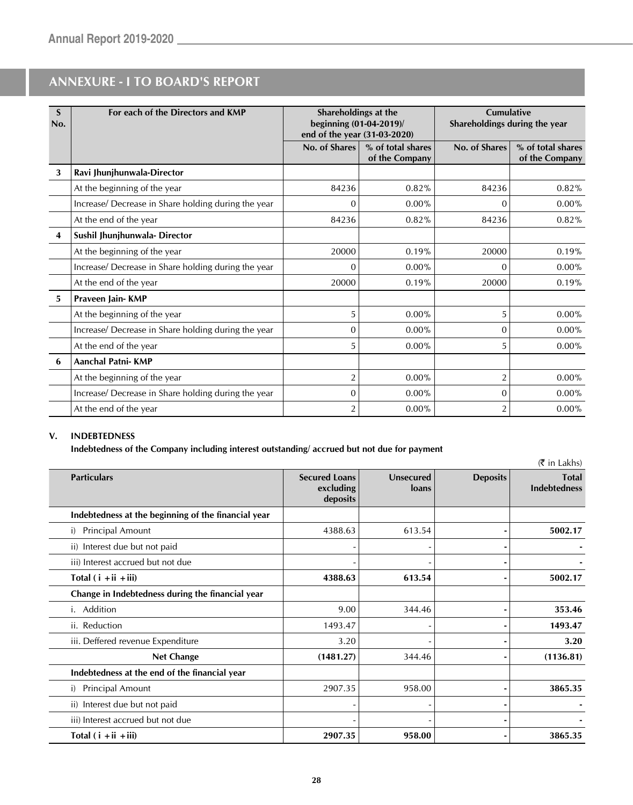| S<br>No. | For each of the Directors and KMP                   | Shareholdings at the<br>beginning (01-04-2019)/<br>end of the year (31-03-2020) |                                     | <b>Cumulative</b><br>Shareholdings during the year |                                     |
|----------|-----------------------------------------------------|---------------------------------------------------------------------------------|-------------------------------------|----------------------------------------------------|-------------------------------------|
|          |                                                     | No. of Shares                                                                   | % of total shares<br>of the Company | No. of Shares                                      | % of total shares<br>of the Company |
| 3        | Ravi Jhunjhunwala-Director                          |                                                                                 |                                     |                                                    |                                     |
|          | At the beginning of the year                        | 84236                                                                           | 0.82%                               | 84236                                              | 0.82%                               |
|          | Increase/ Decrease in Share holding during the year | 0                                                                               | $0.00\%$                            | 0                                                  | $0.00\%$                            |
|          | At the end of the year                              | 84236                                                                           | 0.82%                               | 84236                                              | 0.82%                               |
| 4        | Sushil Jhunjhunwala- Director                       |                                                                                 |                                     |                                                    |                                     |
|          | At the beginning of the year                        | 20000                                                                           | 0.19%                               | 20000                                              | 0.19%                               |
|          | Increase/ Decrease in Share holding during the year | $\Omega$                                                                        | $0.00\%$                            | $\Omega$                                           | $0.00\%$                            |
|          | At the end of the year                              | 20000                                                                           | 0.19%                               | 20000                                              | 0.19%                               |
| 5        | Praveen Jain- KMP                                   |                                                                                 |                                     |                                                    |                                     |
|          | At the beginning of the year                        | 5                                                                               | $0.00\%$                            | 5                                                  | $0.00\%$                            |
|          | Increase/ Decrease in Share holding during the year | $\mathbf{0}$                                                                    | $0.00\%$                            | 0                                                  | $0.00\%$                            |
|          | At the end of the year                              | 5                                                                               | $0.00\%$                            | 5                                                  | $0.00\%$                            |
| 6        | <b>Aanchal Patni-KMP</b>                            |                                                                                 |                                     |                                                    |                                     |
|          | At the beginning of the year                        | $\overline{2}$                                                                  | $0.00\%$                            | $\overline{2}$                                     | $0.00\%$                            |
|          | Increase/ Decrease in Share holding during the year | 0                                                                               | $0.00\%$                            | $\Omega$                                           | $0.00\%$                            |
|          | At the end of the year                              | $\overline{2}$                                                                  | 0.00%                               | $\overline{2}$                                     | $0.00\%$                            |

#### **V. INDEBTEDNESS**

**Indebtedness of the Company including interest outstanding/ accrued but not due for payment**

|                                                     |                                               |                           |                 | (₹ in Lakhs)                        |
|-----------------------------------------------------|-----------------------------------------------|---------------------------|-----------------|-------------------------------------|
| <b>Particulars</b>                                  | <b>Secured Loans</b><br>excluding<br>deposits | <b>Unsecured</b><br>loans | <b>Deposits</b> | <b>Total</b><br><b>Indebtedness</b> |
| Indebtedness at the beginning of the financial year |                                               |                           |                 |                                     |
| <b>Principal Amount</b><br>i)                       | 4388.63                                       | 613.54                    |                 | 5002.17                             |
| ii) Interest due but not paid                       |                                               |                           |                 |                                     |
| iii) Interest accrued but not due                   |                                               |                           |                 |                                     |
| Total $(i + ii + iii)$                              | 4388.63                                       | 613.54                    |                 | 5002.17                             |
| Change in Indebtedness during the financial year    |                                               |                           |                 |                                     |
| Addition<br>Ι.                                      | 9.00                                          | 344.46                    |                 | 353.46                              |
| ii. Reduction                                       | 1493.47                                       |                           |                 | 1493.47                             |
| iii. Deffered revenue Expenditure                   | 3.20                                          |                           |                 | 3.20                                |
| <b>Net Change</b>                                   | (1481.27)                                     | 344.46                    |                 | (1136.81)                           |
| Indebtedness at the end of the financial year       |                                               |                           |                 |                                     |
| Principal Amount<br>i)                              | 2907.35                                       | 958.00                    |                 | 3865.35                             |
| ii) Interest due but not paid                       |                                               |                           |                 |                                     |
| iii) Interest accrued but not due                   |                                               |                           |                 |                                     |
| Total $(i + ii + iii)$                              | 2907.35                                       | 958.00                    |                 | 3865.35                             |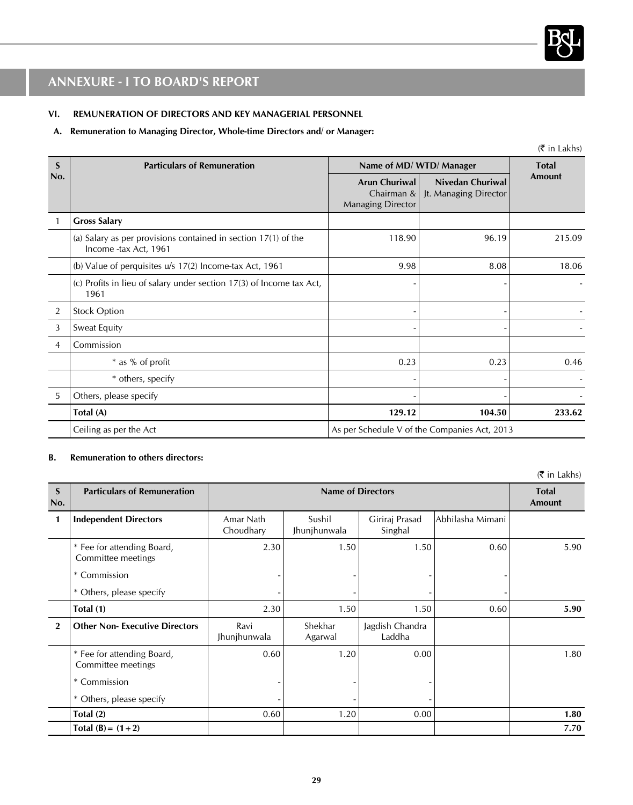

#### **VI. REMUNERATION OF DIRECTORS AND KEY MANAGERIAL PERSONNEL**

#### **A. Remuneration to Managing Director, Whole-time Directors and/ or Manager:**

|                | $(\bar{\bar{\zeta}})$ in Lakhs)                                                           |                                                         |                                                  |        |  |  |
|----------------|-------------------------------------------------------------------------------------------|---------------------------------------------------------|--------------------------------------------------|--------|--|--|
| S<br>No.       | <b>Particulars of Remuneration</b>                                                        | Name of MD/WTD/Manager                                  | <b>Total</b>                                     |        |  |  |
|                |                                                                                           | Arun Churiwal<br>Chairman &<br><b>Managing Director</b> | <b>Nivedan Churiwal</b><br>Jt. Managing Director | Amount |  |  |
|                | <b>Gross Salary</b>                                                                       |                                                         |                                                  |        |  |  |
|                | (a) Salary as per provisions contained in section $17(1)$ of the<br>Income -tax Act, 1961 | 118.90                                                  | 96.19                                            | 215.09 |  |  |
|                | (b) Value of perquisites u/s 17(2) Income-tax Act, 1961                                   | 9.98                                                    | 8.08                                             | 18.06  |  |  |
|                | (c) Profits in lieu of salary under section 17(3) of Income tax Act,<br>1961              |                                                         |                                                  |        |  |  |
| $\overline{2}$ | <b>Stock Option</b>                                                                       |                                                         |                                                  |        |  |  |
| 3              | <b>Sweat Equity</b>                                                                       |                                                         |                                                  |        |  |  |
| 4              | Commission                                                                                |                                                         |                                                  |        |  |  |
|                | * as % of profit                                                                          | 0.23                                                    | 0.23                                             | 0.46   |  |  |
|                | * others, specify                                                                         |                                                         |                                                  |        |  |  |
| 5              | Others, please specify                                                                    |                                                         |                                                  |        |  |  |
|                | Total (A)                                                                                 | 129.12                                                  | 104.50                                           | 233.62 |  |  |
|                | Ceiling as per the Act                                                                    | As per Schedule V of the Companies Act, 2013            |                                                  |        |  |  |

#### **B. Remuneration to others directors:**

|                    |                                                  |                          |                        |                           |                   | $(\bar{\bar{\mathbf{x}}}$ in Lakhs) |
|--------------------|--------------------------------------------------|--------------------------|------------------------|---------------------------|-------------------|-------------------------------------|
| $\mathbf S$<br>No. | <b>Particulars of Remuneration</b>               | <b>Name of Directors</b> |                        |                           |                   | <b>Total</b><br>Amount              |
| 1                  | <b>Independent Directors</b>                     | Amar Nath<br>Choudhary   | Sushil<br>Jhunjhunwala | Giriraj Prasad<br>Singhal | lAbhilasha Mimani |                                     |
|                    | * Fee for attending Board,<br>Committee meetings | 2.30                     | 1.50                   | 1.50                      | 0.60              | 5.90                                |
|                    | * Commission                                     |                          |                        |                           |                   |                                     |
|                    | * Others, please specify                         |                          |                        |                           |                   |                                     |
|                    | Total (1)                                        | 2.30                     | 1.50                   | 1.50                      | 0.60              | 5.90                                |
| $\mathbf{2}$       | <b>Other Non-Executive Directors</b>             | Ravi<br>Jhunjhunwala     | Shekhar<br>Agarwal     | Jagdish Chandra<br>Laddha |                   |                                     |
|                    | * Fee for attending Board,<br>Committee meetings | 0.60                     | 1.20                   | 0.00                      |                   | 1.80                                |
|                    | * Commission                                     |                          |                        |                           |                   |                                     |
|                    | * Others, please specify                         |                          |                        |                           |                   |                                     |
|                    | Total (2)                                        | 0.60                     | 1.20                   | 0.00                      |                   | 1.80                                |
|                    | Total $(B) = (1 + 2)$                            |                          |                        |                           |                   | 7.70                                |